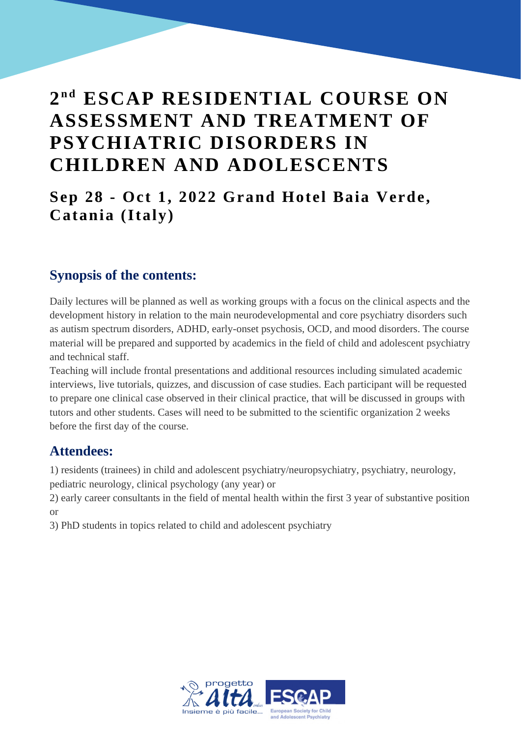# $2^{nd}$  **ESCAP RESIDENTIAL COURSE ON ASSESSMENT AND TREATMENT OF PSYCHIATRIC DISORDERS IN CHILDREN AND ADOLESCENTS**

## **Sep 28 - Oct 1, 2022 Grand Hotel Baia Verde, Catania (Italy)**

### **Synopsis of the contents:**

Daily lectures will be planned as well as working groups with a focus on the clinical aspects and the development history in relation to the main neurodevelopmental and core psychiatry disorders such as autism spectrum disorders, ADHD, early-onset psychosis, OCD, and mood disorders. The course material will be prepared and supported by academics in the field of child and adolescent psychiatry and technical staff.

Teaching will include frontal presentations and additional resources including simulated academic interviews, live tutorials, quizzes, and discussion of case studies. Each participant will be requested to prepare one clinical case observed in their clinical practice, that will be discussed in groups with tutors and other students. Cases will need to be submitted to the scientific organization 2 weeks before the first day of the course.

### **Attendees:**

1) residents (trainees) in child and adolescent psychiatry/neuropsychiatry, psychiatry, neurology, pediatric neurology, clinical psychology (any year) or

2) early career consultants in the field of mental health within the first 3 year of substantive position or

3) PhD students in topics related to child and adolescent psychiatry

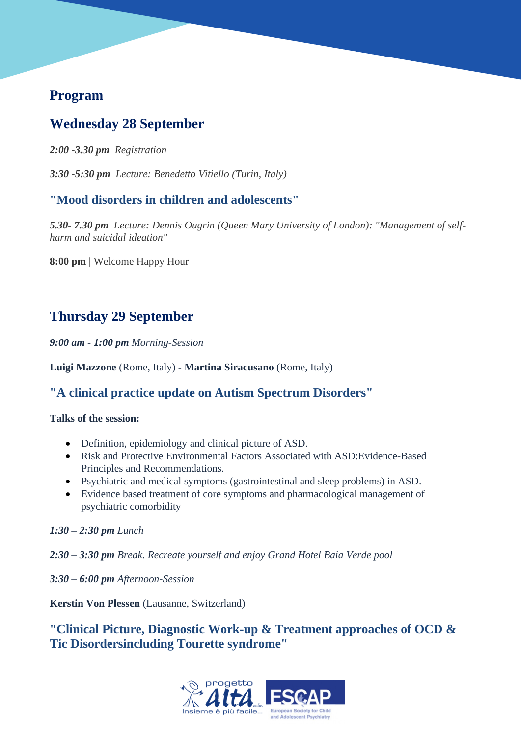### **Program**

## **Wednesday 28 September**

*2:00 -3.30 pm Registration*

*3:30 -5:30 pm Lecture: Benedetto Vitiello (Turin, Italy)*

### **"Mood disorders in children and adolescents"**

*5.30- 7.30 pm Lecture: Dennis Ougrin (Queen Mary University of London): "Management of selfharm and suicidal ideation"*

**8:00 pm |** Welcome Happy Hour

## **Thursday 29 September**

*9:00 am - 1:00 pm Morning-Session*

**Luigi Mazzone** (Rome, Italy) - **Martina Siracusano** (Rome, Italy)

### **"A clinical practice update on Autism Spectrum Disorders"**

#### **Talks of the session:**

- Definition, epidemiology and clinical picture of ASD.
- Risk and Protective Environmental Factors Associated with ASD:Evidence-Based Principles and Recommendations.
- Psychiatric and medical symptoms (gastrointestinal and sleep problems) in ASD.
- Evidence based treatment of core symptoms and pharmacological management of psychiatric comorbidity

*1:30 – 2:30 pm Lunch*

*2:30 – 3:30 pm Break. Recreate yourself and enjoy Grand Hotel Baia Verde pool*

*3:30 – 6:00 pm Afternoon-Session*

**Kerstin Von Plessen** (Lausanne, Switzerland)

**"Clinical Picture, Diagnostic Work-up & Treatment approaches of OCD & Tic Disordersincluding Tourette syndrome"**

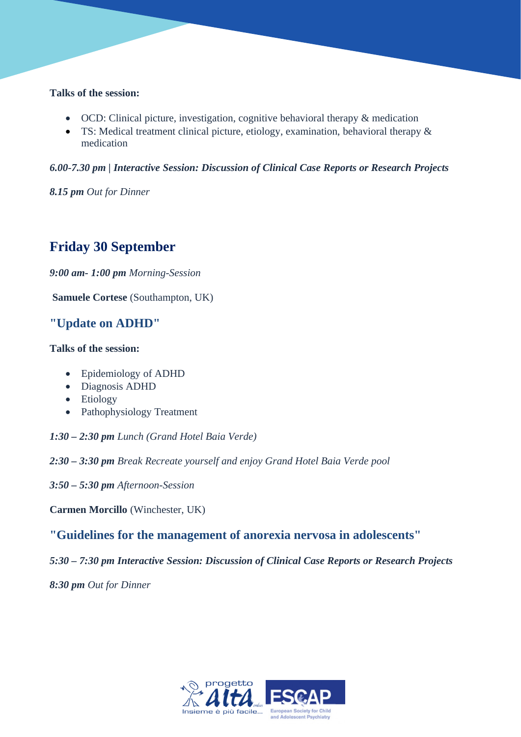#### **Talks of the session:**

- OCD: Clinical picture, investigation, cognitive behavioral therapy & medication
- TS: Medical treatment clinical picture, etiology, examination, behavioral therapy & medication

*6.00-7.30 pm | Interactive Session: Discussion of Clinical Case Reports or Research Projects*

*8.15 pm Out for Dinner*

## **Friday 30 September**

*9:00 am- 1:00 pm Morning-Session*

**Samuele Cortese** (Southampton, UK)

#### **"Update on ADHD"**

#### **Talks of the session:**

- Epidemiology of ADHD
- Diagnosis ADHD
- Etiology
- Pathophysiology Treatment
- *1:30 2:30 pm Lunch (Grand Hotel Baia Verde)*
- *2:30 3:30 pm Break Recreate yourself and enjoy Grand Hotel Baia Verde pool*
- *3:50 5:30 pm Afternoon-Session*

**Carmen Morcillo** (Winchester, UK)

#### **"Guidelines for the management of anorexia nervosa in adolescents"**

*5:30 – 7:30 pm Interactive Session: Discussion of Clinical Case Reports or Research Projects*

*8:30 pm Out for Dinner*

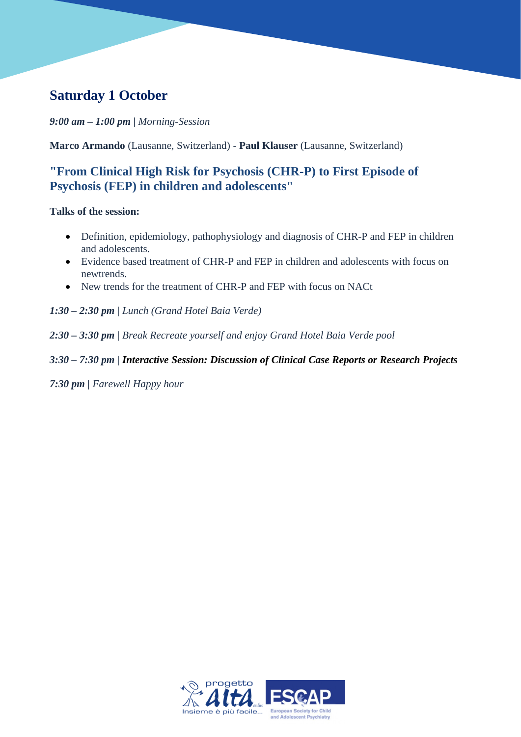## **Saturday 1 October**

*9:00 am – 1:00 pm | Morning-Session*

**Marco Armando** (Lausanne, Switzerland) - **Paul Klauser** (Lausanne, Switzerland)

#### **"From Clinical High Risk for Psychosis (CHR-P) to First Episode of Psychosis (FEP) in children and adolescents"**

#### **Talks of the session:**

- Definition, epidemiology, pathophysiology and diagnosis of CHR-P and FEP in children and adolescents.
- Evidence based treatment of CHR-P and FEP in children and adolescents with focus on newtrends.
- New trends for the treatment of CHR-P and FEP with focus on NACt
- *1:30 2:30 pm | Lunch (Grand Hotel Baia Verde)*
- *2:30 3:30 pm | Break Recreate yourself and enjoy Grand Hotel Baia Verde pool*

#### *3:30 – 7:30 pm | Interactive Session: Discussion of Clinical Case Reports or Research Projects*

*7:30 pm | Farewell Happy hour*